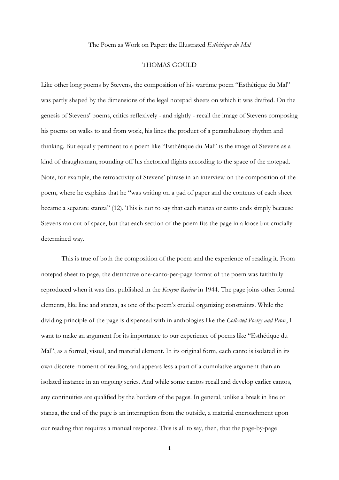## The Poem as Work on Paper: the Illustrated *Esthétique du Mal*

## THOMAS GOULD

Like other long poems by Stevens, the composition of his wartime poem "Esthétique du Mal" was partly shaped by the dimensions of the legal notepad sheets on which it was drafted. On the genesis of Stevens' poems, critics reflexively - and rightly - recall the image of Stevens composing his poems on walks to and from work, his lines the product of a perambulatory rhythm and thinking. But equally pertinent to a poem like "Esthétique du Mal" is the image of Stevens as a kind of draughtsman, rounding off his rhetorical flights according to the space of the notepad. Note, for example, the retroactivity of Stevens' phrase in an interview on the composition of the poem, where he explains that he "was writing on a pad of paper and the contents of each sheet became a separate stanza" (12). This is not to say that each stanza or canto ends simply because Stevens ran out of space, but that each section of the poem fits the page in a loose but crucially determined way.

This is true of both the composition of the poem and the experience of reading it. From notepad sheet to page, the distinctive one-canto-per-page format of the poem was faithfully reproduced when it was first published in the *Kenyon Review* in 1944. The page joins other formal elements, like line and stanza, as one of the poem's crucial organizing constraints. While the dividing principle of the page is dispensed with in anthologies like the *Collected Poetry and Prose*, I want to make an argument for its importance to our experience of poems like "Esthétique du Mal", as a formal, visual, and material element. In its original form, each canto is isolated in its own discrete moment of reading, and appears less a part of a cumulative argument than an isolated instance in an ongoing series. And while some cantos recall and develop earlier cantos, any continuities are qualified by the borders of the pages. In general, unlike a break in line or stanza, the end of the page is an interruption from the outside, a material encroachment upon our reading that requires a manual response. This is all to say, then, that the page-by-page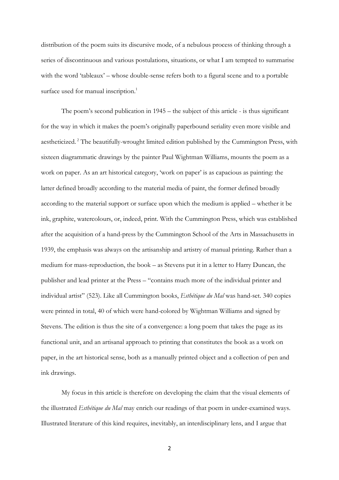distribution of the poem suits its discursive mode, of a nebulous process of thinking through a series of discontinuous and various postulations, situations, or what I am tempted to summarise with the word 'tableaux' – whose double-sense refers both to a figural scene and to a portable surface used for manual inscription.<sup>1</sup>

The poem's second publication in 1945 – the subject of this article - is thus significant for the way in which it makes the poem's originally paperbound seriality even more visible and aestheticized.<sup>2</sup> The beautifully-wrought limited edition published by the Cummington Press, with sixteen diagrammatic drawings by the painter Paul Wightman Williams, mounts the poem as a work on paper. As an art historical category, 'work on paper' is as capacious as painting: the latter defined broadly according to the material media of paint, the former defined broadly according to the material support or surface upon which the medium is applied – whether it be ink, graphite, watercolours, or, indeed, print. With the Cummington Press, which was established after the acquisition of a hand-press by the Cummington School of the Arts in Massachusetts in 1939, the emphasis was always on the artisanship and artistry of manual printing. Rather than a medium for mass-reproduction, the book – as Stevens put it in a letter to Harry Duncan, the publisher and lead printer at the Press – "contains much more of the individual printer and individual artist" (523). Like all Cummington books, *Esthétique du Mal* was hand-set. 340 copies were printed in total, 40 of which were hand-colored by Wightman Williams and signed by Stevens. The edition is thus the site of a convergence: a long poem that takes the page as its functional unit, and an artisanal approach to printing that constitutes the book as a work on paper, in the art historical sense, both as a manually printed object and a collection of pen and ink drawings.

My focus in this article is therefore on developing the claim that the visual elements of the illustrated *Esthétique du Mal* may enrich our readings of that poem in under-examined ways. Illustrated literature of this kind requires, inevitably, an interdisciplinary lens, and I argue that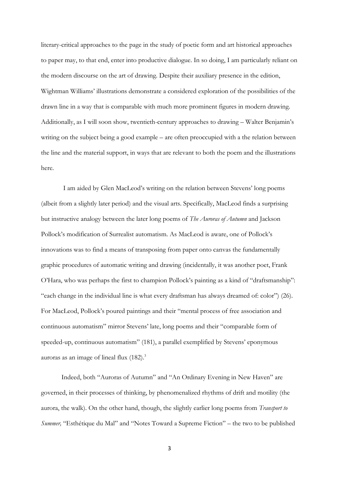literary-critical approaches to the page in the study of poetic form and art historical approaches to paper may, to that end, enter into productive dialogue. In so doing, I am particularly reliant on the modern discourse on the art of drawing. Despite their auxiliary presence in the edition, Wightman Williams' illustrations demonstrate a considered exploration of the possibilities of the drawn line in a way that is comparable with much more prominent figures in modern drawing. Additionally, as I will soon show, twentieth-century approaches to drawing – Walter Benjamin's writing on the subject being a good example – are often preoccupied with a the relation between the line and the material support, in ways that are relevant to both the poem and the illustrations here.

I am aided by Glen MacLeod's writing on the relation between Stevens' long poems (albeit from a slightly later period) and the visual arts. Specifically, MacLeod finds a surprising but instructive analogy between the later long poems of *The Auroras of Autumn* and Jackson Pollock's modification of Surrealist automatism. As MacLeod is aware, one of Pollock's innovations was to find a means of transposing from paper onto canvas the fundamentally graphic procedures of automatic writing and drawing (incidentally, it was another poet, Frank O'Hara, who was perhaps the first to champion Pollock's painting as a kind of "draftsmanship": "each change in the individual line is what every draftsman has always dreamed of: color") (26). For MacLeod, Pollock's poured paintings and their "mental process of free association and continuous automatism" mirror Stevens' late, long poems and their "comparable form of speeded-up, continuous automatism" (181), a parallel exemplified by Stevens' eponymous auroras as an image of lineal flux (182). 3

Indeed, both "Auroras of Autumn" and "An Ordinary Evening in New Haven" are governed, in their processes of thinking, by phenomenalized rhythms of drift and motility (the aurora, the walk). On the other hand, though, the slightly earlier long poems from *Transport to Summer,* "Esthétique du Mal" and "Notes Toward a Supreme Fiction" – the two to be published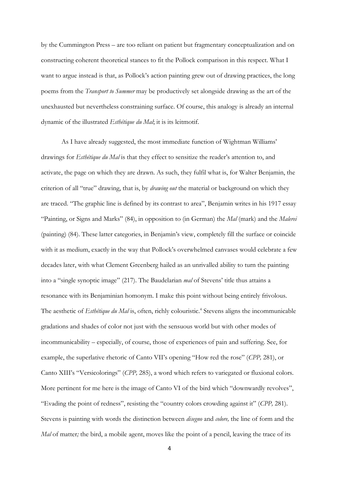by the Cummington Press – are too reliant on patient but fragmentary conceptualization and on constructing coherent theoretical stances to fit the Pollock comparison in this respect. What I want to argue instead is that, as Pollock's action painting grew out of drawing practices, the long poems from the *Transport to Summer* may be productively set alongside drawing as the art of the unexhausted but nevertheless constraining surface. Of course, this analogy is already an internal dynamic of the illustrated *Esthétique du Mal*; it is its leitmotif.

As I have already suggested, the most immediate function of Wightman Williams' drawings for *Esthétique du Mal* is that they effect to sensitize the reader's attention to, and activate, the page on which they are drawn. As such, they fulfil what is, for Walter Benjamin, the criterion of all "true" drawing, that is, by *drawing out* the material or background on which they are traced. "The graphic line is defined by its contrast to area", Benjamin writes in his 1917 essay "Painting, or Signs and Marks" (84), in opposition to (in German) the *Mal* (mark) and the *Malerei*  (painting) (84). These latter categories, in Benjamin's view, completely fill the surface or coincide with it as medium, exactly in the way that Pollock's overwhelmed canvases would celebrate a few decades later, with what Clement Greenberg hailed as an unrivalled ability to turn the painting into a "single synoptic image" (217). The Baudelarian *mal* of Stevens' title thus attains a resonance with its Benjaminian homonym. I make this point without being entirely frivolous. The aesthetic of *Esthétique du Mal* is, often, richly colouristic. 4 Stevens aligns the incommunicable gradations and shades of color not just with the sensuous world but with other modes of incommunicability – especially, of course, those of experiences of pain and suffering. See, for example, the superlative rhetoric of Canto VII's opening "How red the rose" (*CPP,* 281), or Canto XIII's "Versicolorings" (*CPP,* 285), a word which refers to variegated or fluxional colors. More pertinent for me here is the image of Canto VI of the bird which "downwardly revolves", "Evading the point of redness", resisting the "country colors crowding against it" (*CPP,* 281). Stevens is painting with words the distinction between *disegno* and *colore,* the line of form and the *Mal* of matter; the bird, a mobile agent, moves like the point of a pencil, leaving the trace of its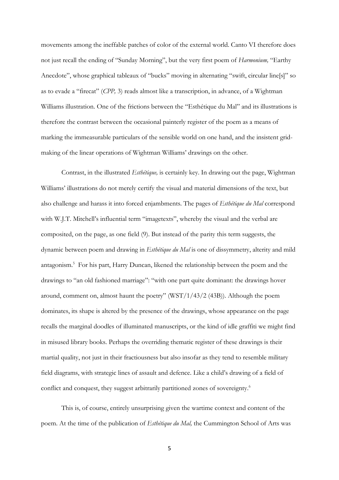movements among the ineffable patches of color of the external world. Canto VI therefore does not just recall the ending of "Sunday Morning", but the very first poem of *Harmonium,* "Earthy Anecdote", whose graphical tableaux of "bucks" moving in alternating "swift, circular line[s]" so as to evade a "firecat" (*CPP,* 3) reads almost like a transcription, in advance, of a Wightman Williams illustration. One of the frictions between the "Esthétique du Mal" and its illustrations is therefore the contrast between the occasional painterly register of the poem as a means of marking the immeasurable particulars of the sensible world on one hand, and the insistent gridmaking of the linear operations of Wightman Williams' drawings on the other.

Contrast, in the illustrated *Esthétique,* is certainly key. In drawing out the page, Wightman Williams' illustrations do not merely certify the visual and material dimensions of the text, but also challenge and harass it into forced enjambments. The pages of *Esthétique du Mal* correspond with W.J.T. Mitchell's influential term "imagetexts", whereby the visual and the verbal are composited, on the page, as one field (9). But instead of the parity this term suggests, the dynamic between poem and drawing in *Esthétique du Mal* is one of dissymmetry, alterity and mild antagonism.<sup>5</sup> For his part, Harry Duncan, likened the relationship between the poem and the drawings to "an old fashioned marriage": "with one part quite dominant: the drawings hover around, comment on, almost haunt the poetry" (WST/1/43/2 (43B)). Although the poem dominates, its shape is altered by the presence of the drawings, whose appearance on the page recalls the marginal doodles of illuminated manuscripts, or the kind of idle graffiti we might find in misused library books. Perhaps the overriding thematic register of these drawings is their martial quality, not just in their fractiousness but also insofar as they tend to resemble military field diagrams, with strategic lines of assault and defence. Like a child's drawing of a field of conflict and conquest, they suggest arbitrarily partitioned zones of sovereignty.<sup>6</sup>

This is, of course, entirely unsurprising given the wartime context and content of the poem. At the time of the publication of *Esthétique du Mal,* the Cummington School of Arts was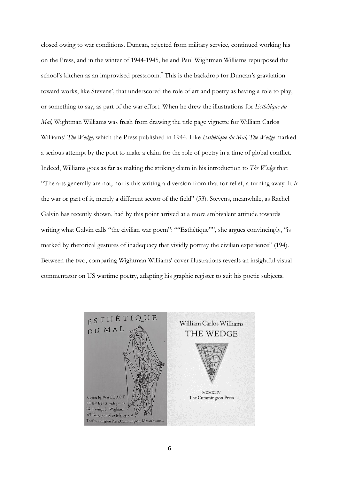closed owing to war conditions. Duncan, rejected from military service, continued working his on the Press, and in the winter of 1944-1945, he and Paul Wightman Williams repurposed the school's kitchen as an improvised pressroom.<sup>7</sup> This is the backdrop for Duncan's gravitation toward works, like Stevens', that underscored the role of art and poetry as having a role to play, or something to say, as part of the war effort. When he drew the illustrations for *Esthétique du Mal,* Wightman Williams was fresh from drawing the title page vignette for William Carlos Williams' *The Wedge,* which the Press published in 1944. Like *Esthétique du Mal, The Wedge* marked a serious attempt by the poet to make a claim for the role of poetry in a time of global conflict. Indeed, Williams goes as far as making the striking claim in his introduction to *The Wedge* that: "The arts generally are not, nor is this writing a diversion from that for relief, a turning away. It *is*  the war or part of it, merely a different sector of the field" (53). Stevens, meanwhile, as Rachel Galvin has recently shown, had by this point arrived at a more ambivalent attitude towards writing what Galvin calls "the civilian war poem": ""Esthétique"", she argues convincingly, "is marked by rhetorical gestures of inadequacy that vividly portray the civilian experience" (194). Between the two, comparing Wightman Williams' cover illustrations reveals an insightful visual commentator on US wartime poetry, adapting his graphic register to suit his poetic subjects.

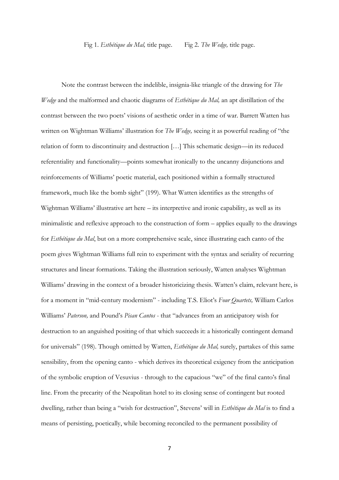Fig 1. *Esthétique du Mal,* title page. Fig 2. *The Wedge,* title page.

Note the contrast between the indelible, insignia-like triangle of the drawing for *The Wedge* and the malformed and chaotic diagrams of *Esthétique du Mal,* an apt distillation of the contrast between the two poets' visions of aesthetic order in a time of war. Barrett Watten has written on Wightman Williams' illustration for *The Wedge,* seeing it as powerful reading of "the relation of form to discontinuity and destruction […] This schematic design—in its reduced referentiality and functionality—points somewhat ironically to the uncanny disjunctions and reinforcements of Williams' poetic material, each positioned within a formally structured framework, much like the bomb sight" (199). What Watten identifies as the strengths of Wightman Williams' illustrative art here – its interpretive and ironic capability, as well as its minimalistic and reflexive approach to the construction of form – applies equally to the drawings for *Esthétique du Mal*, but on a more comprehensive scale, since illustrating each canto of the poem gives Wightman Williams full rein to experiment with the syntax and seriality of recurring structures and linear formations. Taking the illustration seriously, Watten analyses Wightman Williams' drawing in the context of a broader historicizing thesis. Watten's claim, relevant here, is for a moment in "mid-century modernism" - including T.S. Eliot's *Four Quartets,* William Carlos Williams' *Paterson,* and Pound's *Pisan Cantos* - that "advances from an anticipatory wish for destruction to an anguished positing of that which succeeds it: a historically contingent demand for universals" (198). Though omitted by Watten, *Esthétique du Mal,* surely, partakes of this same sensibility, from the opening canto - which derives its theoretical exigency from the anticipation of the symbolic eruption of Vesuvius - through to the capacious "we" of the final canto's final line. From the precarity of the Neapolitan hotel to its closing sense of contingent but rooted dwelling, rather than being a "wish for destruction", Stevens' will in *Esthétique du Mal* is to find a means of persisting, poetically, while becoming reconciled to the permanent possibility of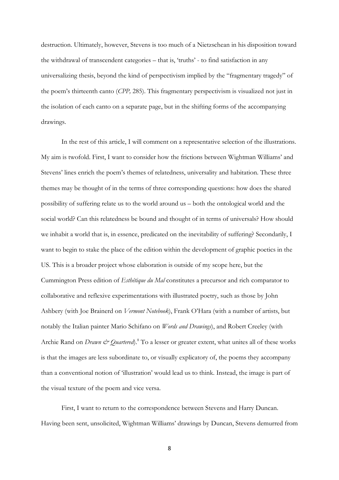destruction. Ultimately, however, Stevens is too much of a Nietzschean in his disposition toward the withdrawal of transcendent categories – that is, 'truths' - to find satisfaction in any universalizing thesis, beyond the kind of perspectivism implied by the "fragmentary tragedy" of the poem's thirteenth canto (*CPP,* 285). This fragmentary perspectivism is visualized not just in the isolation of each canto on a separate page, but in the shifting forms of the accompanying drawings.

In the rest of this article, I will comment on a representative selection of the illustrations. My aim is twofold. First, I want to consider how the frictions between Wightman Williams' and Stevens' lines enrich the poem's themes of relatedness, universality and habitation. These three themes may be thought of in the terms of three corresponding questions: how does the shared possibility of suffering relate us to the world around us – both the ontological world and the social world? Can this relatedness be bound and thought of in terms of universals? How should we inhabit a world that is, in essence, predicated on the inevitability of suffering? Secondarily, I want to begin to stake the place of the edition within the development of graphic poetics in the US. This is a broader project whose elaboration is outside of my scope here, but the Cummington Press edition of *Esthétique du Mal* constitutes a precursor and rich comparator to collaborative and reflexive experimentations with illustrated poetry, such as those by John Ashbery (with Joe Brainerd on *Vermont Notebook*), Frank O'Hara (with a number of artists, but notably the Italian painter Mario Schifano on *Words and Drawings*), and Robert Creeley (with Archie Rand on *Drawn & Quartered*).<sup>8</sup> To a lesser or greater extent, what unites all of these works is that the images are less subordinate to, or visually explicatory of, the poems they accompany than a conventional notion of 'illustration' would lead us to think. Instead, the image is part of the visual texture of the poem and vice versa.

First, I want to return to the correspondence between Stevens and Harry Duncan. Having been sent, unsolicited, Wightman Williams' drawings by Duncan, Stevens demurred from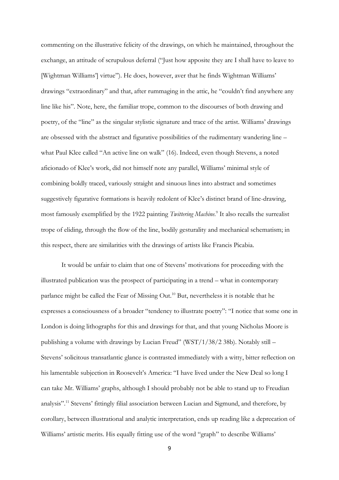commenting on the illustrative felicity of the drawings, on which he maintained, throughout the exchange, an attitude of scrupulous deferral ("Just how apposite they are I shall have to leave to [Wightman Williams'] virtue"). He does, however, aver that he finds Wightman Williams' drawings "extraordinary" and that, after rummaging in the attic, he "couldn't find anywhere any line like his". Note, here, the familiar trope, common to the discourses of both drawing and poetry, of the "line" as the singular stylistic signature and trace of the artist. Williams' drawings are obsessed with the abstract and figurative possibilities of the rudimentary wandering line – what Paul Klee called "An active line on walk" (16). Indeed, even though Stevens, a noted aficionado of Klee's work, did not himself note any parallel, Williams' minimal style of combining boldly traced, variously straight and sinuous lines into abstract and sometimes suggestively figurative formations is heavily redolent of Klee's distinct brand of line-drawing, most famously exemplified by the 1922 painting *Twittering Machine.*<sup>9</sup> It also recalls the surrealist trope of eliding, through the flow of the line, bodily gesturality and mechanical schematism; in this respect, there are similarities with the drawings of artists like Francis Picabia.

It would be unfair to claim that one of Stevens' motivations for proceeding with the illustrated publication was the prospect of participating in a trend – what in contemporary parlance might be called the Fear of Missing Out.<sup>10</sup> But, nevertheless it is notable that he expresses a consciousness of a broader "tendency to illustrate poetry": "I notice that some one in London is doing lithographs for this and drawings for that, and that young Nicholas Moore is publishing a volume with drawings by Lucian Freud" (WST/1/38/2 38b). Notably still – Stevens' solicitous transatlantic glance is contrasted immediately with a witty, bitter reflection on his lamentable subjection in Roosevelt's America: "I have lived under the New Deal so long I can take Mr. Williams' graphs, although I should probably not be able to stand up to Freudian analysis".<sup>11</sup> Stevens' fittingly filial association between Lucian and Sigmund, and therefore, by corollary, between illustrational and analytic interpretation, ends up reading like a deprecation of Williams' artistic merits. His equally fitting use of the word "graph" to describe Williams'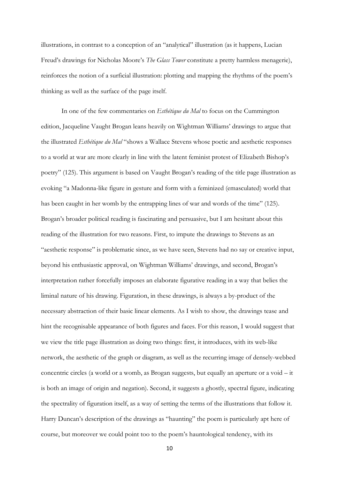illustrations, in contrast to a conception of an "analytical" illustration (as it happens, Lucian Freud's drawings for Nicholas Moore's *The Glass Tower* constitute a pretty harmless menagerie), reinforces the notion of a surficial illustration: plotting and mapping the rhythms of the poem's thinking as well as the surface of the page itself.

In one of the few commentaries on *Esthétique du Mal* to focus on the Cummington edition, Jacqueline Vaught Brogan leans heavily on Wightman Williams' drawings to argue that the illustrated *Esthétique du Mal* "shows a Wallace Stevens whose poetic and aesthetic responses to a world at war are more clearly in line with the latent feminist protest of Elizabeth Bishop's poetry" (125). This argument is based on Vaught Brogan's reading of the title page illustration as evoking "a Madonna-like figure in gesture and form with a feminized (emasculated) world that has been caught in her womb by the entrapping lines of war and words of the time" (125). Brogan's broader political reading is fascinating and persuasive, but I am hesitant about this reading of the illustration for two reasons. First, to impute the drawings to Stevens as an "aesthetic response" is problematic since, as we have seen, Stevens had no say or creative input, beyond his enthusiastic approval, on Wightman Williams' drawings, and second, Brogan's interpretation rather forcefully imposes an elaborate figurative reading in a way that belies the liminal nature of his drawing. Figuration, in these drawings, is always a by-product of the necessary abstraction of their basic linear elements. As I wish to show, the drawings tease and hint the recognisable appearance of both figures and faces. For this reason, I would suggest that we view the title page illustration as doing two things: first, it introduces, with its web-like network, the aesthetic of the graph or diagram, as well as the recurring image of densely-webbed concentric circles (a world or a womb, as Brogan suggests, but equally an aperture or a void – it is both an image of origin and negation). Second, it suggests a ghostly, spectral figure, indicating the spectrality of figuration itself, as a way of setting the terms of the illustrations that follow it. Harry Duncan's description of the drawings as "haunting" the poem is particularly apt here of course, but moreover we could point too to the poem's hauntological tendency, with its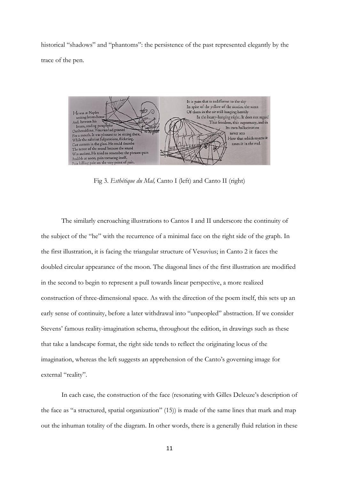historical "shadows" and "phantoms": the persistence of the past represented elegantly by the trace of the pen.



Fig 3. *Esthétique du Mal,* Canto I (left) and Canto II (right)

The similarly encroaching illustrations to Cantos I and II underscore the continuity of the subject of the "he" with the recurrence of a minimal face on the right side of the graph. In the first illustration, it is facing the triangular structure of Vesuvius; in Canto 2 it faces the doubled circular appearance of the moon. The diagonal lines of the first illustration are modified in the second to begin to represent a pull towards linear perspective, a more realized construction of three-dimensional space. As with the direction of the poem itself, this sets up an early sense of continuity, before a later withdrawal into "unpeopled" abstraction. If we consider Stevens' famous reality-imagination schema, throughout the edition, in drawings such as these that take a landscape format, the right side tends to reflect the originating locus of the imagination, whereas the left suggests an apprehension of the Canto's governing image for external "reality".

In each case, the construction of the face (resonating with Gilles Deleuze's description of the face as "a structured, spatial organization" (15)) is made of the same lines that mark and map out the inhuman totality of the diagram. In other words, there is a generally fluid relation in these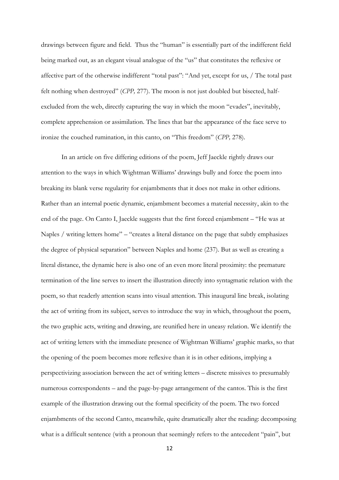drawings between figure and field. Thus the "human" is essentially part of the indifferent field being marked out, as an elegant visual analogue of the "us" that constitutes the reflexive or affective part of the otherwise indifferent "total past": "And yet, except for us, / The total past felt nothing when destroyed" (*CPP,* 277). The moon is not just doubled but bisected, halfexcluded from the web, directly capturing the way in which the moon "evades", inevitably, complete apprehension or assimilation. The lines that bar the appearance of the face serve to ironize the couched rumination, in this canto, on "This freedom" (*CPP,* 278).

In an article on five differing editions of the poem, Jeff Jaeckle rightly draws our attention to the ways in which Wightman Williams' drawings bully and force the poem into breaking its blank verse regularity for enjambments that it does not make in other editions. Rather than an internal poetic dynamic, enjambment becomes a material necessity, akin to the end of the page. On Canto I, Jaeckle suggests that the first forced enjambment – "He was at Naples / writing letters home" – "creates a literal distance on the page that subtly emphasizes the degree of physical separation" between Naples and home (237). But as well as creating a literal distance, the dynamic here is also one of an even more literal proximity: the premature termination of the line serves to insert the illustration directly into syntagmatic relation with the poem, so that readerly attention scans into visual attention. This inaugural line break, isolating the act of writing from its subject, serves to introduce the way in which, throughout the poem, the two graphic acts, writing and drawing, are reunified here in uneasy relation. We identify the act of writing letters with the immediate presence of Wightman Williams' graphic marks, so that the opening of the poem becomes more reflexive than it is in other editions, implying a perspectivizing association between the act of writing letters – discrete missives to presumably numerous correspondents – and the page-by-page arrangement of the cantos. This is the first example of the illustration drawing out the formal specificity of the poem. The two forced enjambments of the second Canto, meanwhile, quite dramatically alter the reading: decomposing what is a difficult sentence (with a pronoun that seemingly refers to the antecedent "pain", but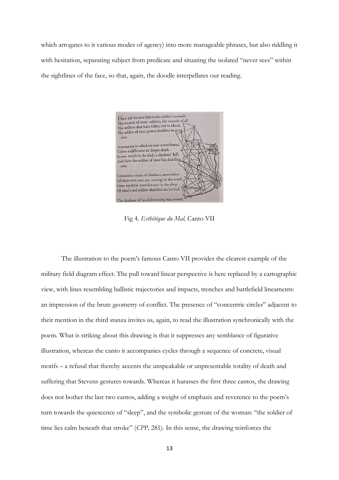which arrogates to it various modes of agency) into more manageable phrases, but also riddling it with hesitation, separating subject from predicate and situating the isolated "never sees" within the sightlines of the face, so that, again, the doodle interpellates our reading.



Fig 4. *Esthétique du Mal,* Canto VII

The illustration to the poem's famous Canto VII provides the clearest example of the military field diagram effect. The pull toward linear perspective is here replaced by a cartographic view, with lines resembling ballistic trajectories and impacts, trenches and battlefield lineaments: an impression of the brute geometry of conflict. The presence of "concentric circles" adjacent to their mention in the third stanza invites us, again, to read the illustration synchronically with the poem. What is striking about this drawing is that it suppresses any semblance of figurative illustration, whereas the canto it accompanies cycles through a sequence of concrete, visual motifs – a refusal that thereby accents the unspeakable or unpresentable totality of death and suffering that Stevens gestures towards. Whereas it harasses the first three cantos, the drawing does not bother the last two cantos, adding a weight of emphasis and reverence to the poem's turn towards the quiescence of "sleep", and the symbolic gesture of the woman: "the soldier of time lies calm beneath that stroke" (*CPP,* 281). In this sense, the drawing reinforces the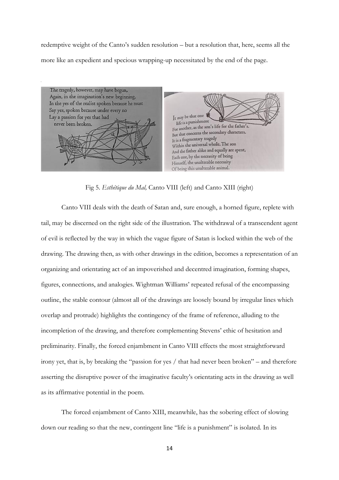redemptive weight of the Canto's sudden resolution – but a resolution that, here, seems all the more like an expedient and specious wrapping-up necessitated by the end of the page.



Fig 5. *Esthétique du Mal,* Canto VIII (left) and Canto XIII (right)

Canto VIII deals with the death of Satan and, sure enough, a horned figure, replete with tail, may be discerned on the right side of the illustration. The withdrawal of a transcendent agent of evil is reflected by the way in which the vague figure of Satan is locked within the web of the drawing. The drawing then, as with other drawings in the edition, becomes a representation of an organizing and orientating act of an impoverished and decentred imagination, forming shapes, figures, connections, and analogies. Wightman Williams' repeated refusal of the encompassing outline, the stable contour (almost all of the drawings are loosely bound by irregular lines which overlap and protrude) highlights the contingency of the frame of reference, alluding to the incompletion of the drawing, and therefore complementing Stevens' ethic of hesitation and preliminarity. Finally, the forced enjambment in Canto VIII effects the most straightforward irony yet, that is, by breaking the "passion for yes / that had never been broken" – and therefore asserting the disruptive power of the imaginative faculty's orientating acts in the drawing as well as its affirmative potential in the poem.

The forced enjambment of Canto XIII, meanwhile, has the sobering effect of slowing down our reading so that the new, contingent line "life is a punishment" is isolated. In its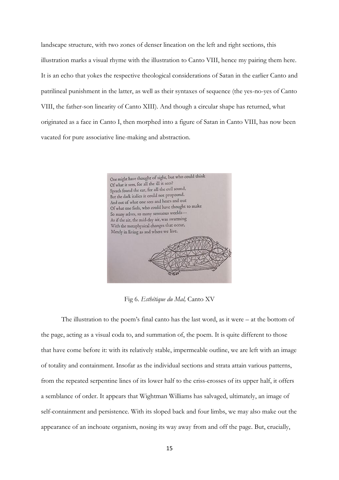landscape structure, with two zones of denser lineation on the left and right sections, this illustration marks a visual rhyme with the illustration to Canto VIII, hence my pairing them here. It is an echo that yokes the respective theological considerations of Satan in the earlier Canto and patrilineal punishment in the latter, as well as their syntaxes of sequence (the yes-no-yes of Canto VIII, the father-son linearity of Canto XIII). And though a circular shape has returned, what originated as a face in Canto I, then morphed into a figure of Satan in Canto VIII, has now been vacated for pure associative line-making and abstraction.



Fig 6. *Esthétique du Mal,* Canto XV

The illustration to the poem's final canto has the last word, as it were – at the bottom of the page, acting as a visual coda to, and summation of, the poem. It is quite different to those that have come before it: with its relatively stable, impermeable outline, we are left with an image of totality and containment. Insofar as the individual sections and strata attain various patterns, from the repeated serpentine lines of its lower half to the criss-crosses of its upper half, it offers a semblance of order. It appears that Wightman Williams has salvaged, ultimately, an image of self-containment and persistence. With its sloped back and four limbs, we may also make out the appearance of an inchoate organism, nosing its way away from and off the page. But, crucially,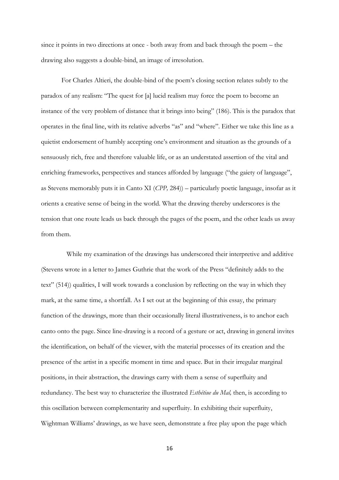since it points in two directions at once - both away from and back through the poem – the drawing also suggests a double-bind, an image of irresolution.

For Charles Altieri, the double-bind of the poem's closing section relates subtly to the paradox of any realism: "The quest for [a] lucid realism may force the poem to become an instance of the very problem of distance that it brings into being" (186). This is the paradox that operates in the final line, with its relative adverbs "as" and "where". Either we take this line as a quietist endorsement of humbly accepting one's environment and situation as the grounds of a sensuously rich, free and therefore valuable life, or as an understated assertion of the vital and enriching frameworks, perspectives and stances afforded by language ("the gaiety of language", as Stevens memorably puts it in Canto XI (*CPP,* 284)) – particularly poetic language, insofar as it orients a creative sense of being in the world. What the drawing thereby underscores is the tension that one route leads us back through the pages of the poem, and the other leads us away from them.

 While my examination of the drawings has underscored their interpretive and additive (Stevens wrote in a letter to James Guthrie that the work of the Press "definitely adds to the text" (514)) qualities, I will work towards a conclusion by reflecting on the way in which they mark, at the same time, a shortfall. As I set out at the beginning of this essay, the primary function of the drawings, more than their occasionally literal illustrativeness, is to anchor each canto onto the page. Since line-drawing is a record of a gesture or act, drawing in general invites the identification, on behalf of the viewer, with the material processes of its creation and the presence of the artist in a specific moment in time and space. But in their irregular marginal positions, in their abstraction, the drawings carry with them a sense of superfluity and redundancy. The best way to characterize the illustrated *Esthétiue du Mal,* then, is according to this oscillation between complementarity and superfluity. In exhibiting their superfluity, Wightman Williams' drawings, as we have seen, demonstrate a free play upon the page which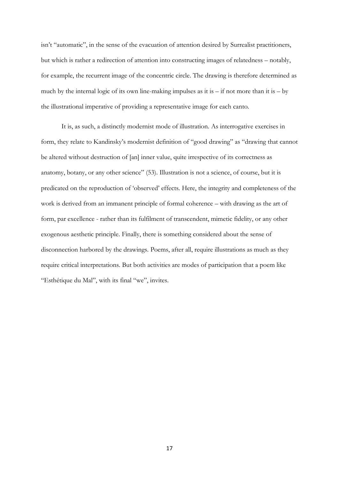isn't "automatic", in the sense of the evacuation of attention desired by Surrealist practitioners, but which is rather a redirection of attention into constructing images of relatedness – notably, for example, the recurrent image of the concentric circle. The drawing is therefore determined as much by the internal logic of its own line-making impulses as it is  $-$  if not more than it is  $-$  by the illustrational imperative of providing a representative image for each canto.

It is, as such, a distinctly modernist mode of illustration. As interrogative exercises in form, they relate to Kandinsky's modernist definition of "good drawing" as "drawing that cannot be altered without destruction of [an] inner value, quite irrespective of its correctness as anatomy, botany, or any other science" (53). Illustration is not a science, of course, but it is predicated on the reproduction of 'observed' effects. Here, the integrity and completeness of the work is derived from an immanent principle of formal coherence – with drawing as the art of form, par excellence - rather than its fulfilment of transcendent, mimetic fidelity, or any other exogenous aesthetic principle. Finally, there is something considered about the sense of disconnection harbored by the drawings. Poems, after all, require illustrations as much as they require critical interpretations. But both activities are modes of participation that a poem like "Esthétique du Mal", with its final "we", invites.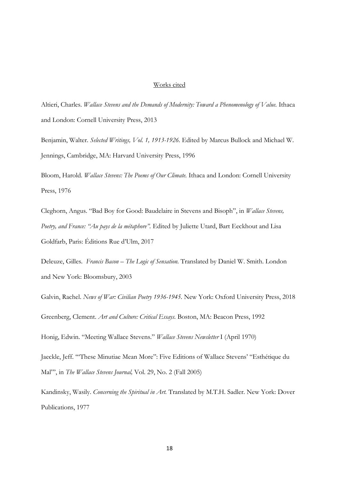## Works cited

Altieri, Charles. *Wallace Stevens and the Demands of Modernity: Toward a Phenomenology of Value.* Ithaca and London: Cornell University Press, 2013

Benjamin, Walter. *Selected Writings, Vol. 1, 1913-1926.* Edited by Marcus Bullock and Michael W. Jennings, Cambridge, MA: Harvard University Press, 1996

Bloom, Harold. *Wallace Stevens: The Poems of Our Climate.* Ithaca and London: Cornell University Press, 1976

Cleghorn, Angus. "Bad Boy for Good: Baudelaire in Stevens and Bisoph", in *Wallace Stevens, Poetry, and France: "Au pays de la métaphore".* Edited by Juliette Utard, Bart Eeckhout and Lisa Goldfarb, Paris: Éditions Rue d'Ulm, 2017

Deleuze, Gilles. *Francis Bacon – The Logic of Sensation.* Translated by Daniel W. Smith. London and New York: Bloomsbury, 2003

Galvin, Rachel. *News of War: Civilian Poetry 1936-1945.* New York: Oxford University Press, 2018 Greenberg, Clement. *Art and Culture: Critical Essays.* Boston, MA: Beacon Press, 1992

Honig, Edwin. "Meeting Wallace Stevens." *Wallace Stevens Newsletter* I (April 1970)

Jaeckle, Jeff. '"These Minutiae Mean More": Five Editions of Wallace Stevens' "Esthétique du Mal"', in *The Wallace Stevens Journal,* Vol. 29, No. 2 (Fall 2005)

Kandinsky, Wasily. *Concerning the Spiritual in Art.* Translated by M.T.H. Sadler. New York: Dover Publications, 1977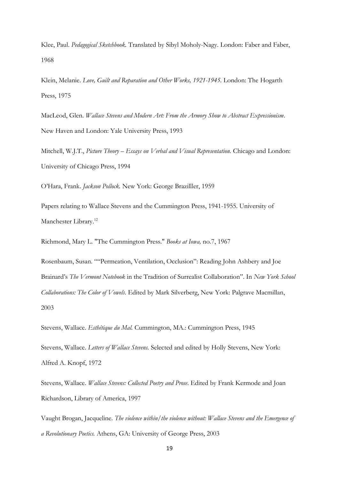Klee, Paul. *Pedagogical Sketchbook.* Translated by Sibyl Moholy-Nagy. London: Faber and Faber, 1968

Klein, Melanie. *Love, Guilt and Reparation and Other Works, 1921-1945.* London: The Hogarth Press, 1975

MacLeod, Glen. *Wallace Stevens and Modern Art: From the Armory Show to Abstract Expressionism*. New Haven and London: Yale University Press, 1993

Mitchell, W.J.T., *Picture Theory – Essays on Verbal and Visual Representation.* Chicago and London: University of Chicago Press, 1994

O'Hara, Frank. *Jackson Pollock.* New York: George Brazilller, 1959

Papers relating to Wallace Stevens and the Cummington Press, 1941-1955. University of Manchester Library.<sup>12</sup>

Richmond, Mary L. "The Cummington Press." *Books at Iowa,* no.7, 1967

Rosenbaum, Susan. ""Permeation, Ventilation, Occlusion": Reading John Ashbery and Joe Brainard's *The Vermont Notebook* in the Tradition of Surrealist Collaboration". In *New York School Collaborations: The Color of Vowels*. Edited by Mark Silverberg, New York: Palgrave Macmillan, 2003

Stevens, Wallace. *Esthétique du Mal.* Cummington, MA.: Cummington Press, 1945

Stevens, Wallace. *Letters of Wallace Stevens.* Selected and edited by Holly Stevens, New York: Alfred A. Knopf, 1972

Stevens, Wallace. *Wallace Stevens: Collected Poetry and Prose*. Edited by Frank Kermode and Joan Richardson, Library of America, 1997

Vaught Brogan, Jacqueline. *The violence within/the violence without: Wallace Stevens and the Emergence of a Revolutionary Poetics.* Athens, GA: University of George Press, 2003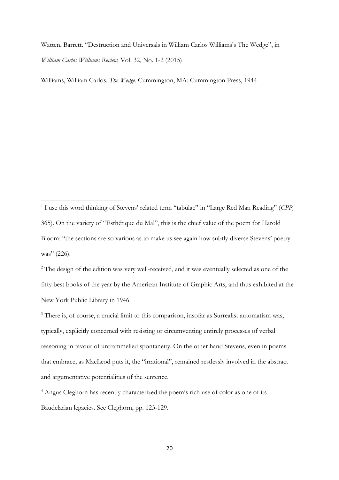Watten, Barrett. "Destruction and Universals in William Carlos Williams's The Wedge", in *William Carlos Williams Review,* Vol. 32, No. 1-2 (2015)

Williams, William Carlos. *The Wedge.* Cummington, MA: Cummington Press, 1944

<sup>&</sup>lt;sup>1</sup> I use this word thinking of Stevens' related term "tabulae" in "Large Red Man Reading" (CPP, 365). On the variety of "Esthétique du Mal", this is the chief value of the poem for Harold Bloom: "the sections are so various as to make us see again how subtly diverse Stevens' poetry was" (226).

<sup>&</sup>lt;sup>2</sup> The design of the edition was very well-received, and it was eventually selected as one of the fifty best books of the year by the American Institute of Graphic Arts, and thus exhibited at the New York Public Library in 1946.

<sup>&</sup>lt;sup>3</sup> There is, of course, a crucial limit to this comparison, insofar as Surrealist automatism was, typically, explicitly concerned with resisting or circumventing entirely processes of verbal reasoning in favour of untrammelled spontaneity. On the other hand Stevens, even in poems that embrace, as MacLeod puts it, the "irrational", remained restlessly involved in the abstract and argumentative potentialities of the sentence.

<sup>4</sup> Angus Cleghorn has recently characterized the poem's rich use of color as one of its Baudelarian legacies. See Cleghorn, pp. 123-129.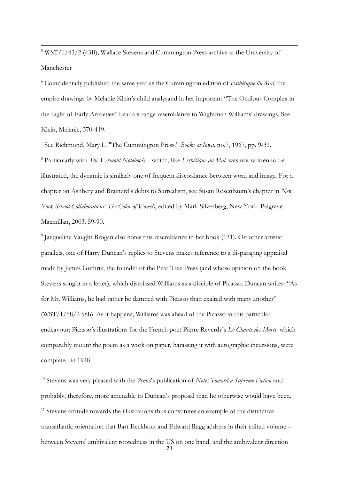<sup>5</sup> WST/1/43/2 (43B), Wallace Stevens and Cummington Press archive at the University of Manchester

**.** 

<sup>6</sup> Coincidentally published the same year as the Cummington edition of *Esthétique du Mal*, the empire drawings by Melanie Klein's child analysand in her important "The Oedipus Complex in the Light of Early Anxieties" bear a strange resemblance to Wightman Williams' drawings. See Klein, Melanie, 370-419.

7 See Richmond, Mary L. "The Cummington Press." *Books at Iowa,* no.7, 1967, pp. 9-31.

<sup>8</sup> Particularly with *The Vermont Notebook* – which, like *Esthétique du Mal,* was not written to be illustrated, the dynamic is similarly one of frequent discordance between word and image. For a chapter on Ashbery and Brainerd's debts to Surrealism, see Susan Rosenbaum's chapter in *New York School Collaborations: The Color of Vowels*, edited by Mark Silverberg, New York: Palgrave Macmillan, 2003. 59-90.

9 Jacqueline Vaught Brogan also notes this resemblance in her book (131). On other artistic parallels, one of Harry Duncan's replies to Stevens makes reference to a disparaging appraisal made by James Guthrie, the founder of the Pear Tree Press (and whose opinion on the book Stevens sought in a letter), which dismissed Williams as a disciple of Picasso. Duncan writes: "As for Mr. Williams, he had rather be damned with Picasso than exalted with many another" (WST/1/58/2 58b). As it happens, Williams was ahead of the Picasso in this particular endeavour; Picasso's illustrations for the French poet Pierre Reverdy's *Le Chants des Morts,* which comparably mount the poem as a work on paper, harassing it with autographic incursions, were completed in 1948.

<sup>10</sup> Stevens was very pleased with the Press's publication of *Notes Toward a Supreme Fiction* and probably, therefore, more amenable to Duncan's proposal than he otherwise would have been. <sup>11</sup> Stevens attitude towards the illustrations thus constitutes an example of the distinctive transatlantic orientation that Bart Eeckhout and Edward Ragg address in their edited volume – between Stevens' ambivalent rootedness in the US on one hand, and the ambivalent direction